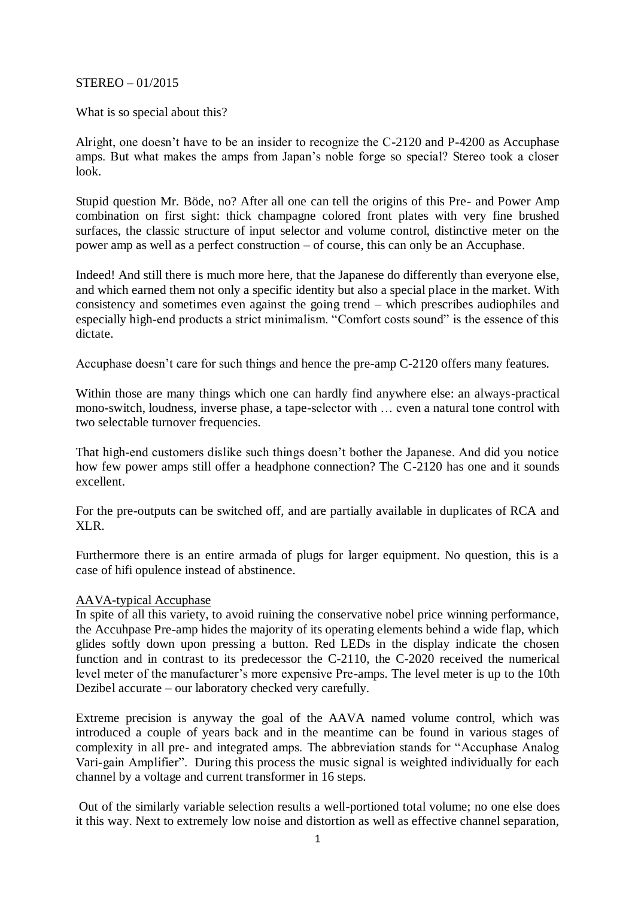#### STEREO – 01/2015

What is so special about this?

Alright, one doesn't have to be an insider to recognize the C-2120 and P-4200 as Accuphase amps. But what makes the amps from Japan's noble forge so special? Stereo took a closer look.

Stupid question Mr. Böde, no? After all one can tell the origins of this Pre- and Power Amp combination on first sight: thick champagne colored front plates with very fine brushed surfaces, the classic structure of input selector and volume control, distinctive meter on the power amp as well as a perfect construction – of course, this can only be an Accuphase.

Indeed! And still there is much more here, that the Japanese do differently than everyone else, and which earned them not only a specific identity but also a special place in the market. With consistency and sometimes even against the going trend – which prescribes audiophiles and especially high-end products a strict minimalism. "Comfort costs sound" is the essence of this dictate.

Accuphase doesn't care for such things and hence the pre-amp C-2120 offers many features.

Within those are many things which one can hardly find anywhere else: an always-practical mono-switch, loudness, inverse phase, a tape-selector with … even a natural tone control with two selectable turnover frequencies.

That high-end customers dislike such things doesn't bother the Japanese. And did you notice how few power amps still offer a headphone connection? The C-2120 has one and it sounds excellent.

For the pre-outputs can be switched off, and are partially available in duplicates of RCA and XLR.

Furthermore there is an entire armada of plugs for larger equipment. No question, this is a case of hifi opulence instead of abstinence.

#### AAVA-typical Accuphase

In spite of all this variety, to avoid ruining the conservative nobel price winning performance, the Accuhpase Pre-amp hides the majority of its operating elements behind a wide flap, which glides softly down upon pressing a button. Red LEDs in the display indicate the chosen function and in contrast to its predecessor the C-2110, the C-2020 received the numerical level meter of the manufacturer's more expensive Pre-amps. The level meter is up to the 10th Dezibel accurate – our laboratory checked very carefully.

Extreme precision is anyway the goal of the AAVA named volume control, which was introduced a couple of years back and in the meantime can be found in various stages of complexity in all pre- and integrated amps. The abbreviation stands for "Accuphase Analog Vari-gain Amplifier". During this process the music signal is weighted individually for each channel by a voltage and current transformer in 16 steps.

Out of the similarly variable selection results a well-portioned total volume; no one else does it this way. Next to extremely low noise and distortion as well as effective channel separation,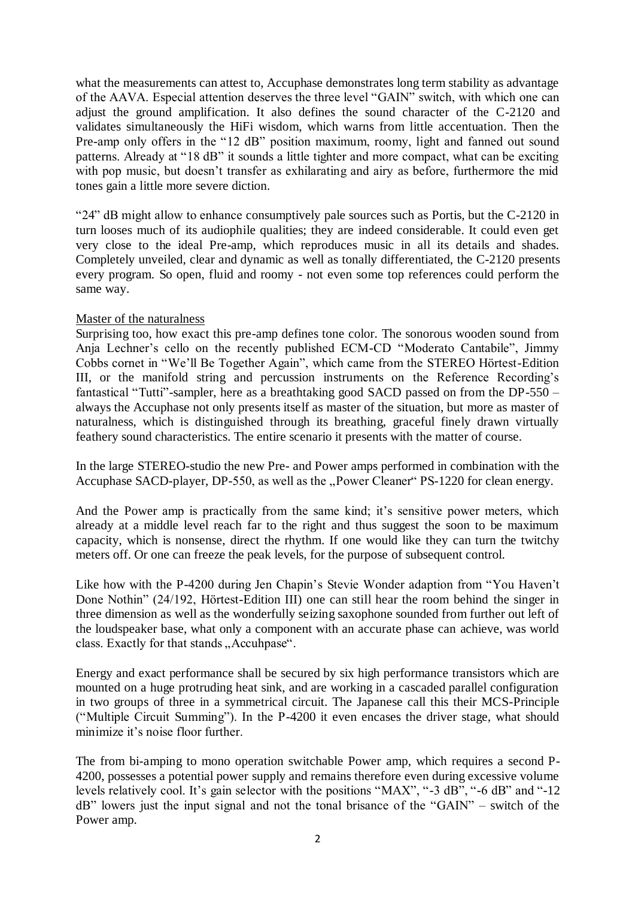what the measurements can attest to, Accuphase demonstrates long term stability as advantage of the AAVA. Especial attention deserves the three level "GAIN" switch, with which one can adjust the ground amplification. It also defines the sound character of the C-2120 and validates simultaneously the HiFi wisdom, which warns from little accentuation. Then the Pre-amp only offers in the "12 dB" position maximum, roomy, light and fanned out sound patterns. Already at "18 dB" it sounds a little tighter and more compact, what can be exciting with pop music, but doesn't transfer as exhilarating and airy as before, furthermore the mid tones gain a little more severe diction.

"24" dB might allow to enhance consumptively pale sources such as Portis, but the C-2120 in turn looses much of its audiophile qualities; they are indeed considerable. It could even get very close to the ideal Pre-amp, which reproduces music in all its details and shades. Completely unveiled, clear and dynamic as well as tonally differentiated, the C-2120 presents every program. So open, fluid and roomy - not even some top references could perform the same way.

# Master of the naturalness

Surprising too, how exact this pre-amp defines tone color. The sonorous wooden sound from Anja Lechner's cello on the recently published ECM-CD "Moderato Cantabile", Jimmy Cobbs cornet in "We'll Be Together Again", which came from the STEREO Hörtest-Edition III, or the manifold string and percussion instruments on the Reference Recording's fantastical "Tutti"-sampler, here as a breathtaking good SACD passed on from the DP-550 – always the Accuphase not only presents itself as master of the situation, but more as master of naturalness, which is distinguished through its breathing, graceful finely drawn virtually feathery sound characteristics. The entire scenario it presents with the matter of course.

In the large STEREO-studio the new Pre- and Power amps performed in combination with the Accuphase SACD-player, DP-550, as well as the "Power Cleaner" PS-1220 for clean energy.

And the Power amp is practically from the same kind; it's sensitive power meters, which already at a middle level reach far to the right and thus suggest the soon to be maximum capacity, which is nonsense, direct the rhythm. If one would like they can turn the twitchy meters off. Or one can freeze the peak levels, for the purpose of subsequent control.

Like how with the P-4200 during Jen Chapin's Stevie Wonder adaption from "You Haven't Done Nothin" (24/192, Hörtest-Edition III) one can still hear the room behind the singer in three dimension as well as the wonderfully seizing saxophone sounded from further out left of the loudspeaker base, what only a component with an accurate phase can achieve, was world class. Exactly for that stands "Accuhpase".

Energy and exact performance shall be secured by six high performance transistors which are mounted on a huge protruding heat sink, and are working in a cascaded parallel configuration in two groups of three in a symmetrical circuit. The Japanese call this their MCS-Principle ("Multiple Circuit Summing"). In the P-4200 it even encases the driver stage, what should minimize it's noise floor further.

The from bi-amping to mono operation switchable Power amp, which requires a second P-4200, possesses a potential power supply and remains therefore even during excessive volume levels relatively cool. It's gain selector with the positions "MAX", "-3 dB", "-6 dB" and "-12 dB" lowers just the input signal and not the tonal brisance of the "GAIN" – switch of the Power amp.